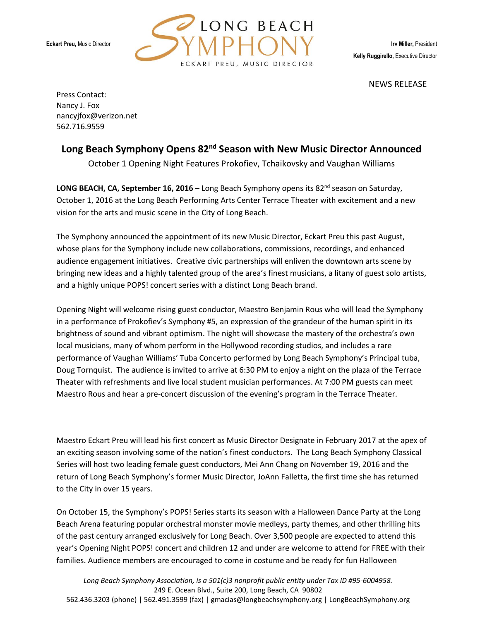

NEWS RELEASE

Press Contact: Nancy J. Fox nancyjfox@verizon.net 562.716.9559

# Long Beach Symphony Opens 82<sup>nd</sup> Season with New Music Director Announced

October 1 Opening Night Features Prokofiev, Tchaikovsky and Vaughan Williams

**LONG BEACH, CA, September 16, 2016** – Long Beach Symphony opens its 82<sup>nd</sup> season on Saturday, October 1, 2016 at the Long Beach Performing Arts Center Terrace Theater with excitement and a new vision for the arts and music scene in the City of Long Beach.

The Symphony announced the appointment of its new Music Director, Eckart Preu this past August, whose plans for the Symphony include new collaborations, commissions, recordings, and enhanced audience engagement initiatives. Creative civic partnerships will enliven the downtown arts scene by bringing new ideas and a highly talented group of the area's finest musicians, a litany of guest solo artists, and a highly unique POPS! concert series with a distinct Long Beach brand.

Opening Night will welcome rising guest conductor, Maestro Benjamin Rous who will lead the Symphony in a performance of Prokofiev's Symphony #5, an expression of the grandeur of the human spirit in its brightness of sound and vibrant optimism. The night will showcase the mastery of the orchestra's own local musicians, many of whom perform in the Hollywood recording studios, and includes a rare performance of Vaughan Williams' Tuba Concerto performed by Long Beach Symphony's Principal tuba, Doug Tornquist. The audience is invited to arrive at 6:30 PM to enjoy a night on the plaza of the Terrace Theater with refreshments and live local student musician performances. At 7:00 PM guests can meet Maestro Rous and hear a pre-concert discussion of the evening's program in the Terrace Theater.

Maestro Eckart Preu will lead his first concert as Music Director Designate in February 2017 at the apex of an exciting season involving some of the nation's finest conductors. The Long Beach Symphony Classical Series will host two leading female guest conductors, Mei Ann Chang on November 19, 2016 and the return of Long Beach Symphony's former Music Director, JoAnn Falletta, the first time she has returned to the City in over 15 years.

On October 15, the Symphony's POPS! Series starts its season with a Halloween Dance Party at the Long Beach Arena featuring popular orchestral monster movie medleys, party themes, and other thrilling hits of the past century arranged exclusively for Long Beach. Over 3,500 people are expected to attend this year's Opening Night POPS! concert and children 12 and under are welcome to attend for FREE with their families. Audience members are encouraged to come in costume and be ready for fun Halloween

*Long Beach Symphony Association, is a 501(c)3 nonprofit public entity under Tax ID #95-6004958.*  249 E. Ocean Blvd., Suite 200, Long Beach, CA 90802 562.436.3203 (phone) | 562.491.3599 (fax) | gmacias@longbeachsymphony.org | LongBeachSymphony.org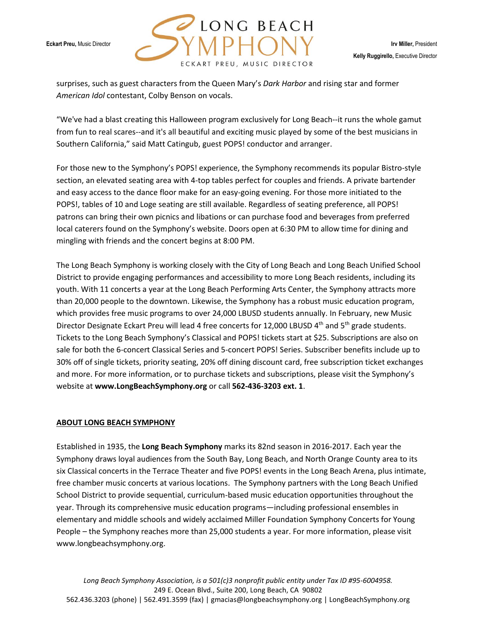

surprises, such as guest characters from the Queen Mary's *Dark Harbor* and rising star and former *American Idol* contestant, Colby Benson on vocals.

"We've had a blast creating this Halloween program exclusively for Long Beach--it runs the whole gamut from fun to real scares--and it's all beautiful and exciting music played by some of the best musicians in Southern California," said Matt Catingub, guest POPS! conductor and arranger.

For those new to the Symphony's POPS! experience, the Symphony recommends its popular Bistro-style section, an elevated seating area with 4-top tables perfect for couples and friends. A private bartender and easy access to the dance floor make for an easy-going evening. For those more initiated to the POPS!, tables of 10 and Loge seating are still available. Regardless of seating preference, all POPS! patrons can bring their own picnics and libations or can purchase food and beverages from preferred local caterers found on the Symphony's website. Doors open at 6:30 PM to allow time for dining and mingling with friends and the concert begins at 8:00 PM.

The Long Beach Symphony is working closely with the City of Long Beach and Long Beach Unified School District to provide engaging performances and accessibility to more Long Beach residents, including its youth. With 11 concerts a year at the Long Beach Performing Arts Center, the Symphony attracts more than 20,000 people to the downtown. Likewise, the Symphony has a robust music education program, which provides free music programs to over 24,000 LBUSD students annually. In February, new Music Director Designate Eckart Preu will lead 4 free concerts for 12,000 LBUSD 4<sup>th</sup> and 5<sup>th</sup> grade students. Tickets to the Long Beach Symphony's Classical and POPS! tickets start at \$25. Subscriptions are also on sale for both the 6-concert Classical Series and 5-concert POPS! Series. Subscriber benefits include up to 30% off of single tickets, priority seating, 20% off dining discount card, free subscription ticket exchanges and more. For more information, or to purchase tickets and subscriptions, please visit the Symphony's website at **www.LongBeachSymphony.org** or call **562-436-3203 ext. 1**.

#### **ABOUT LONG BEACH SYMPHONY**

Established in 1935, the **Long Beach Symphony** marks its 82nd season in 2016-2017. Each year the Symphony draws loyal audiences from the South Bay, Long Beach, and North Orange County area to its six Classical concerts in the Terrace Theater and five POPS! events in the Long Beach Arena, plus intimate, free chamber music concerts at various locations. The Symphony partners with the Long Beach Unified School District to provide sequential, curriculum-based music education opportunities throughout the year. Through its comprehensive music education programs—including professional ensembles in elementary and middle schools and widely acclaimed Miller Foundation Symphony Concerts for Young People – the Symphony reaches more than 25,000 students a year. For more information, please visit www.longbeachsymphony.org.

*Long Beach Symphony Association, is a 501(c)3 nonprofit public entity under Tax ID #95-6004958.*  249 E. Ocean Blvd., Suite 200, Long Beach, CA 90802 562.436.3203 (phone) | 562.491.3599 (fax) | gmacias@longbeachsymphony.org | LongBeachSymphony.org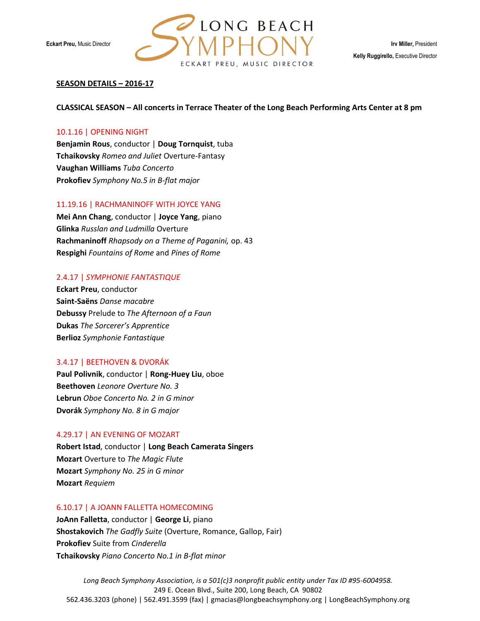

### **SEASON DETAILS – 2016-17**

### **CLASSICAL SEASON – All concerts in Terrace Theater of the Long Beach Performing Arts Center at 8 pm**

### 10.1.16 | OPENING NIGHT

**Benjamin Rous**, conductor | **Doug Tornquist**, tuba **Tchaikovsky** *Romeo and Juliet* Overture-Fantasy **Vaughan Williams** *Tuba Concerto* **Prokofiev** *Symphony No.5 in B-flat major*

#### 11.19.16 | RACHMANINOFF WITH JOYCE YANG

**Mei Ann Chang**, conductor | **Joyce Yang**, piano **Glinka** *Russlan and Ludmilla* Overture **Rachmaninoff** *Rhapsody on a Theme of Paganini,* op. 43 **Respighi** *Fountains of Rome* and *Pines of Rome*

#### 2.4.17 | *SYMPHONIE FANTASTIQUE*

**Eckart Preu**, conductor **Saint-Saëns** *Danse macabre* **Debussy** Prelude to *The Afternoon of a Faun* **Dukas** *The Sorcerer's Apprentice* **Berlioz** *Symphonie Fantastique*

#### 3.4.17 | BEETHOVEN & DVORÁK

**Paul Polivnik**, conductor | **Rong-Huey Liu**, oboe **Beethoven** *Leonore Overture No. 3* **Lebrun** *Oboe Concerto No. 2 in G minor* **Dvorák** *Symphony No. 8 in G major*

#### 4.29.17 | AN EVENING OF MOZART

**Robert Istad**, conductor | **Long Beach Camerata Singers Mozart** Overture to *The Magic Flute* **Mozart** *Symphony No. 25 in G minor* **Mozart** *Requiem*

#### 6.10.17 | A JOANN FALLETTA HOMECOMING

**JoAnn Falletta**, conductor | **George Li**, piano **Shostakovich** *The Gadfly Suite* (Overture, Romance, Gallop, Fair) **Prokofiev** Suite from *Cinderella* **Tchaikovsky** *Piano Concerto No.1 in B-flat minor*